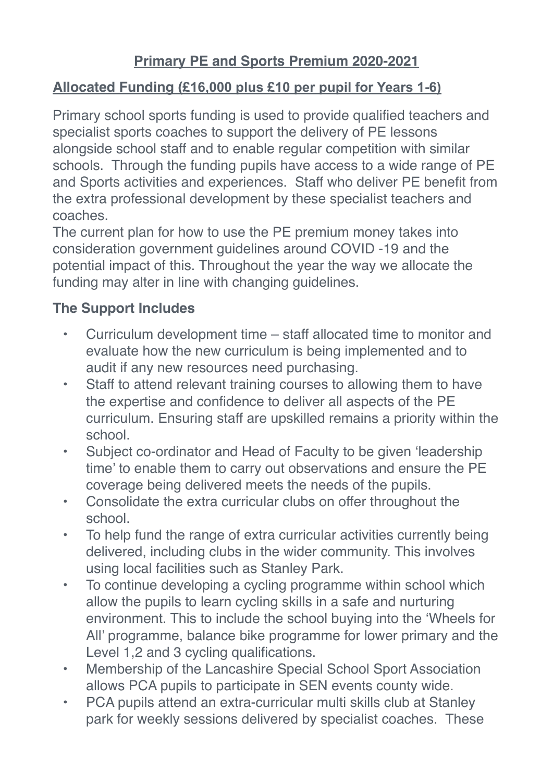## **Primary PE and Sports Premium 2020-2021**

## **Allocated Funding (£16,000 plus £10 per pupil for Years 1-6)**

Primary school sports funding is used to provide qualified teachers and specialist sports coaches to support the delivery of PE lessons alongside school staff and to enable regular competition with similar schools. Through the funding pupils have access to a wide range of PE and Sports activities and experiences. Staff who deliver PE benefit from the extra professional development by these specialist teachers and coaches.

The current plan for how to use the PE premium money takes into consideration government guidelines around COVID -19 and the potential impact of this. Throughout the year the way we allocate the funding may alter in line with changing guidelines.

## **The Support Includes**

- Curriculum development time staff allocated time to monitor and evaluate how the new curriculum is being implemented and to audit if any new resources need purchasing.
- Staff to attend relevant training courses to allowing them to have the expertise and confidence to deliver all aspects of the PE curriculum. Ensuring staff are upskilled remains a priority within the school.
- Subject co-ordinator and Head of Faculty to be given 'leadership time' to enable them to carry out observations and ensure the PE coverage being delivered meets the needs of the pupils.
- Consolidate the extra curricular clubs on offer throughout the school.
- To help fund the range of extra curricular activities currently being delivered, including clubs in the wider community. This involves using local facilities such as Stanley Park.
- To continue developing a cycling programme within school which allow the pupils to learn cycling skills in a safe and nurturing environment. This to include the school buying into the 'Wheels for All' programme, balance bike programme for lower primary and the Level 1,2 and 3 cycling qualifications.
- Membership of the Lancashire Special School Sport Association allows PCA pupils to participate in SEN events county wide.
- PCA pupils attend an extra-curricular multi skills club at Stanley park for weekly sessions delivered by specialist coaches. These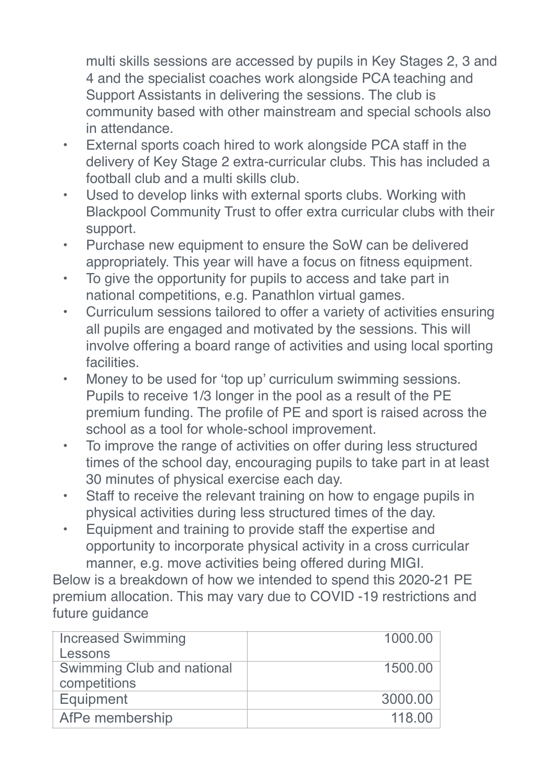multi skills sessions are accessed by pupils in Key Stages 2, 3 and 4 and the specialist coaches work alongside PCA teaching and Support Assistants in delivering the sessions. The club is community based with other mainstream and special schools also in attendance.

- External sports coach hired to work alongside PCA staff in the delivery of Key Stage 2 extra-curricular clubs. This has included a football club and a multi skills club.
- Used to develop links with external sports clubs. Working with Blackpool Community Trust to offer extra curricular clubs with their support.
- Purchase new equipment to ensure the SoW can be delivered appropriately. This year will have a focus on fitness equipment.
- To give the opportunity for pupils to access and take part in national competitions, e.g. Panathlon virtual games.
- Curriculum sessions tailored to offer a variety of activities ensuring all pupils are engaged and motivated by the sessions. This will involve offering a board range of activities and using local sporting facilities.
- Money to be used for 'top up' curriculum swimming sessions. Pupils to receive 1/3 longer in the pool as a result of the PE premium funding. The profile of PE and sport is raised across the school as a tool for whole-school improvement.
- To improve the range of activities on offer during less structured times of the school day, encouraging pupils to take part in at least 30 minutes of physical exercise each day.
- Staff to receive the relevant training on how to engage pupils in physical activities during less structured times of the day.
- Equipment and training to provide staff the expertise and opportunity to incorporate physical activity in a cross curricular manner, e.g. move activities being offered during MIGI.

Below is a breakdown of how we intended to spend this 2020-21 PE premium allocation. This may vary due to COVID -19 restrictions and future guidance

| <b>Increased Swimming</b><br>Lessons       | 1000.00 |
|--------------------------------------------|---------|
| Swimming Club and national<br>competitions | 1500.00 |
| Equipment                                  | 3000.00 |
| AfPe membership                            | 118.00  |